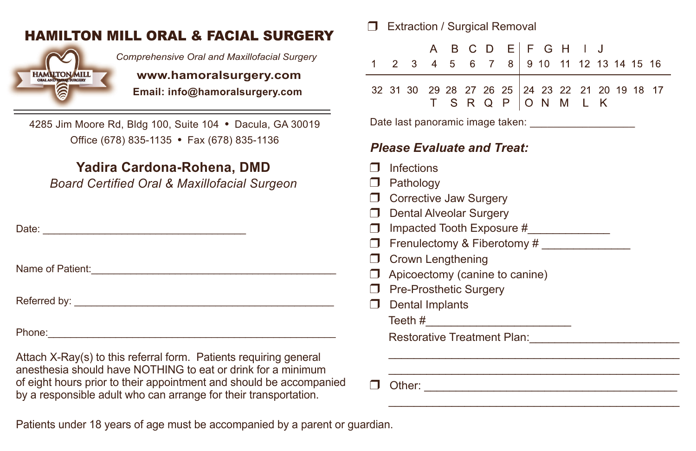## <sup>U</sup> Extraction / Surgical Removal HAMILTON MILL ORAL & FACIAL SURGERY



 *Comprehensive Oral and Maxillofacial Surgery*

**EXAMPLE WWW.hamoralsurgery.com**<br>Email: info@hamoralsurgery.com  **Email: info@hamoralsurgery.com**

4285 Jim Moore Rd, Bldg 100, Suite 104 • Dacula, GA 30019 Office (678) 835-1135 • Fax (678) 835-1136

## **Yadira Cardona-Rohena, DMD**

*Board Certified Oral & Maxillofacial Surgeon*

Date: \_\_\_\_\_\_\_\_\_\_\_\_\_\_\_\_\_\_\_\_\_\_\_\_\_\_\_\_\_\_\_\_\_\_\_\_

Name of Patient:\_\_\_\_\_\_\_\_\_\_\_\_\_\_\_\_\_\_\_\_\_\_\_\_\_\_\_\_\_\_\_\_\_\_\_\_\_\_\_\_\_\_\_\_

Referred by: \_\_\_\_\_\_\_\_\_\_\_\_\_\_\_\_\_\_\_\_\_\_\_\_\_\_\_\_\_\_\_\_\_\_\_\_\_\_\_\_\_\_\_\_\_\_

Phone: which is a set of the set of the set of the set of the set of the set of the set of the set of the set of the set of the set of the set of the set of the set of the set of the set of the set of the set of the set of

Attach X-Ray(s) to this referral form. Patients requiring general anesthesia should have NOTHING to eat or drink for a minimum of eight hours prior to their appointment and should be accompanied by a responsible adult who can arrange for their transportation.

Patients under 18 years of age must be accompanied by a parent or guardian.

|                                                                   |                                                                                                                                                                                                                                                                                                                                    |                                                                                | A |             | B C D |                | - E I               |  | FGH                    |  | a sa Tin |  |  |  |  |
|-------------------------------------------------------------------|------------------------------------------------------------------------------------------------------------------------------------------------------------------------------------------------------------------------------------------------------------------------------------------------------------------------------------|--------------------------------------------------------------------------------|---|-------------|-------|----------------|---------------------|--|------------------------|--|----------|--|--|--|--|
| 1                                                                 | $2^{\circ}$                                                                                                                                                                                                                                                                                                                        | 3                                                                              | 4 | $5^{\circ}$ |       | 6 <sub>7</sub> | 8                   |  | 9 10 11 12 13 14 15 16 |  |          |  |  |  |  |
|                                                                   |                                                                                                                                                                                                                                                                                                                                    | 32 31 30 29 28 27 26 25 24 23 22 21 20 19 18 17                                |   |             |       |                | T S R Q P O N M L K |  |                        |  |          |  |  |  |  |
|                                                                   | Date last panoramic image taken: _____________________                                                                                                                                                                                                                                                                             |                                                                                |   |             |       |                |                     |  |                        |  |          |  |  |  |  |
| ┓<br>□ □<br>П.<br>$\Box$<br>$\Box$<br>$\Box$<br>$\Box$<br>П.<br>П | <b>Please Evaluate and Treat:</b><br><b>Infections</b><br>Pathology<br>Corrective Jaw Surgery<br><b>Dental Alveolar Surgery</b><br>Impacted Tooth Exposure #______________<br>Frenulectomy & Fiberotomy #<br><b>Crown Lengthening</b><br>Apicoectomy (canine to canine)<br><b>Pre-Prosthetic Surgery</b><br><b>Dental Implants</b> |                                                                                |   |             |       |                |                     |  |                        |  |          |  |  |  |  |
|                                                                   |                                                                                                                                                                                                                                                                                                                                    | Restorative Treatment Plan: Network Charles Contains the Restoration of Plants |   |             |       |                |                     |  |                        |  |          |  |  |  |  |
|                                                                   |                                                                                                                                                                                                                                                                                                                                    |                                                                                |   |             |       |                |                     |  |                        |  |          |  |  |  |  |
|                                                                   |                                                                                                                                                                                                                                                                                                                                    |                                                                                |   |             |       |                |                     |  |                        |  |          |  |  |  |  |
|                                                                   |                                                                                                                                                                                                                                                                                                                                    |                                                                                |   |             |       |                |                     |  |                        |  |          |  |  |  |  |
|                                                                   |                                                                                                                                                                                                                                                                                                                                    |                                                                                |   |             |       |                |                     |  |                        |  |          |  |  |  |  |